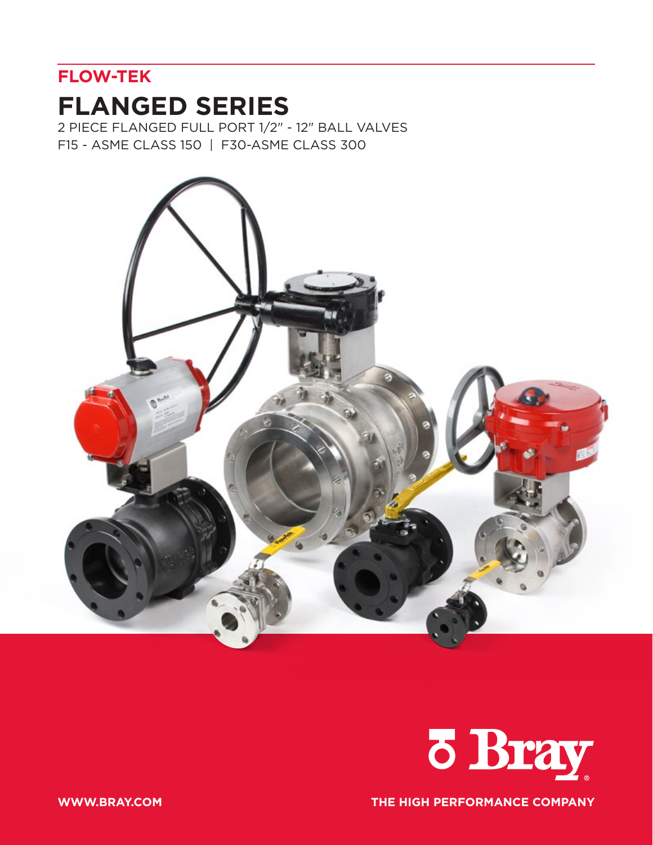## **FLOW-TEK**

# **FLANGED SERIES**

2 PIECE FLANGED FULL PORT 1/2" - 12" BALL VALVES F15 - ASME CLASS 150 | F30-ASME CLASS 300





**WWW.BRAY.COM THE HIGH PERFORMANCE COMPANY**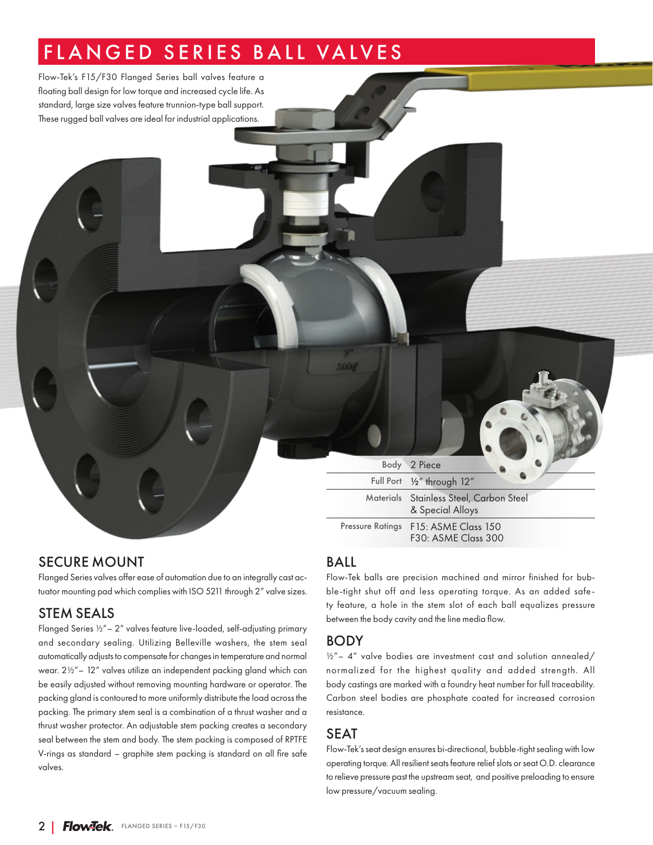# FLANGED SERIES BALL VALVES

Flow-Tek's F15/F30 Flanged Series ball valves feature a floating ball design for low torque and increased cycle life. As standard, large size valves feature trunnion-type ball support. These rugged ball valves are ideal for industrial applications.

> Body 2 Piece Full Port ½" through 12" Materials Stainless Steel, Carbon Steel & Special Alloys Pressure Ratings F15: ASME Class 150 F30: ASME Class 300

### SECURE MOUNT

Flanged Series valves offer ease of automation due to an integrally cast actuator mounting pad which complies with ISO 5211 through 2" valve sizes.

### STEM SEALS

Flanged Series ½"– 2" valves feature live-loaded, self-adjusting primary and secondary sealing. Utilizing Belleville washers, the stem seal automatically adjusts to compensate for changes in temperature and normal wear. 2½"– 12" valves utilize an independent packing gland which can be easily adjusted without removing mounting hardware or operator. The packing gland is contoured to more uniformly distribute the load across the packing. The primary stem seal is a combination of a thrust washer and a thrust washer protector. An adjustable stem packing creates a secondary seal between the stem and body. The stem packing is composed of RPTFE V-rings as standard – graphite stem packing is standard on all fire safe valves.

### BALL

5008

Flow-Tek balls are precision machined and mirror finished for bubble-tight shut off and less operating torque. As an added safety feature, a hole in the stem slot of each ball equalizes pressure between the body cavity and the line media flow.

### BODY

 $1/2"$  – 4" valve bodies are investment cast and solution annealed/ normalized for the highest quality and added strength. All body castings are marked with a foundry heat number for full traceability. Carbon steel bodies are phosphate coated for increased corrosion resistance.

### SEAT

Flow-Tek's seat design ensures bi-directional, bubble-tight sealing with low operating torque. All resilient seats feature relief slots or seat O.D. clearance to relieve pressure past the upstream seat, and positive preloading to ensure low pressure/vacuum sealing.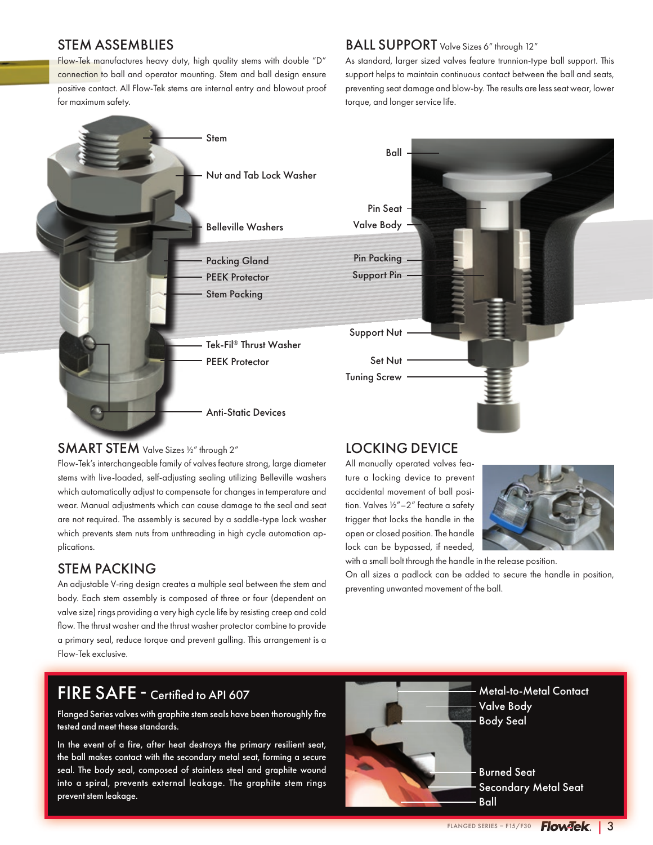#### STEM ASSEMBLIES

Flow-Tek manufactures heavy duty, high quality stems with double "D" connection to ball and operator mounting. Stem and ball design ensure positive contact. All Flow-Tek stems are internal entry and blowout proof for maximum safety.

### BALL SUPPORT Valve Sizes 6" through 12"

As standard, larger sized valves feature trunnion-type ball support. This support helps to maintain continuous contact between the ball and seats, preventing seat damage and blow-by. The results are less seat wear, lower torque, and longer service life.



### SMART STEM Valve Sizes 1/2" through 2"

Flow-Tek's interchangeable family of valves feature strong, large diameter stems with live-loaded, self-adjusting sealing utilizing Belleville washers which automatically adjust to compensate for changes in temperature and wear. Manual adjustments which can cause damage to the seal and seat are not required. The assembly is secured by a saddle-type lock washer which prevents stem nuts from unthreading in high cycle automation applications.

### STEM PACKING

An adjustable V-ring design creates a multiple seal between the stem and body. Each stem assembly is composed of three or four (dependent on valve size) rings providing a very high cycle life by resisting creep and cold flow. The thrust washer and the thrust washer protector combine to provide a primary seal, reduce torque and prevent galling. This arrangement is a Flow-Tek exclusive.

## FIRE SAFE - Certified to API 607

Flanged Series valves with graphite stem seals have been thoroughly fire tested and meet these standards.

In the event of a fire, after heat destroys the primary resilient seat, the ball makes contact with the secondary metal seat, forming a secure seal. The body seal, composed of stainless steel and graphite wound into a spiral, prevents external leakage. The graphite stem rings prevent stem leakage.



All manually operated valves feature a locking device to prevent accidental movement of ball position. Valves ½"–2" feature a safety trigger that locks the handle in the open or closed position. The handle lock can be bypassed, if needed,

with a small bolt through the handle in the release position.

preventing unwanted movement of the ball.

On all sizes a padlock can be added to secure the handle in position,

Metal-to-Metal Contact Valve Body Body Seal

Burned Seat Secondary Metal Seat Ball

FLANGED SERIES – F15/F30 **Flow<sup>T</sup>ek**. | 3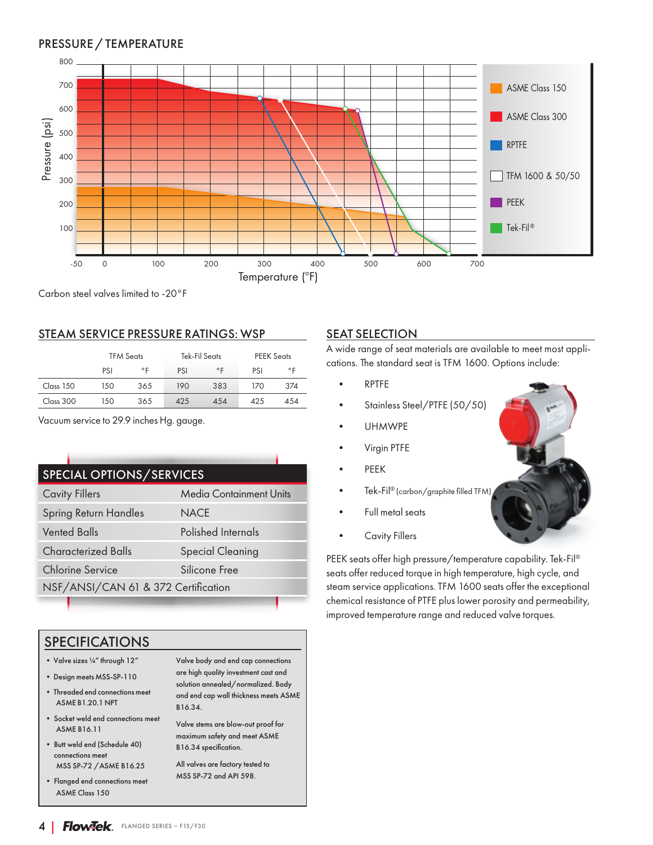### PRESSURE / TEMPERATURE



Carbon steel valves limited to -20°F

#### STEAM SERVICE PRESSURE RATINGS: WSP

|           |            | <b>TFM Seats</b> |     | Tek-Fil Seats | <b>PEEK Seats</b> |              |  |  |
|-----------|------------|------------------|-----|---------------|-------------------|--------------|--|--|
|           | PSI        | ۰F               | PSI | $^{\circ}$ F  | PSI               | $^{\circ}$ F |  |  |
| Class 150 | 150        | 365              | 190 | 383           | 170               | 374          |  |  |
| Class 300 | 365<br>150 |                  | 425 | 454           |                   | 454          |  |  |

Vacuum service to 29.9 inches Hg. gauge.

| <b>SPECIAL OPTIONS/SERVICES</b>          |                                     |  |  |  |  |  |  |  |  |  |  |
|------------------------------------------|-------------------------------------|--|--|--|--|--|--|--|--|--|--|
| <b>Cavity Fillers</b>                    | <b>Media Containment Units</b>      |  |  |  |  |  |  |  |  |  |  |
| Spring Return Handles                    | <b>NACE</b>                         |  |  |  |  |  |  |  |  |  |  |
| <b>Vented Balls</b>                      | Polished Internals                  |  |  |  |  |  |  |  |  |  |  |
| <b>Characterized Balls</b>               | <b>Special Cleaning</b>             |  |  |  |  |  |  |  |  |  |  |
| <b>Chlorine Service</b><br>Silicone Free |                                     |  |  |  |  |  |  |  |  |  |  |
|                                          | NSF/ANSI/CAN 61 & 372 Certification |  |  |  |  |  |  |  |  |  |  |

### SPECIFICATIONS

- Valve sizes ¼" through 12"
- Design meets MSS-SP-110
- Threaded end connections meet ASME B1.20.1 NPT
- Socket weld end connections meet ASME B16.11
- Butt weld end (Schedule 40) connections meet MSS SP-72 /ASME B16.25
- Flanged end connections meet ASME Class 150

Valve body and end cap connections are high quality investment cast and solution annealed/normalized. Body and end cap wall thickness meets ASME B16.34.

Valve stems are blow-out proof for maximum safety and meet ASME B16.34 specification.

All valves are factory tested to MSS SP-72 and API 598.

#### **SEAT SELECTION**

A wide range of seat materials are available to meet most applications. The standard seat is TFM 1600. Options include:

- RPTFE
- Stainless Steel/PTFE (50/50)
- UHMWPE
- Virgin PTFE
- PEEK
- Tek-Fil® (carbon/graphite filled TFM)
- Full metal seats
- Cavity Fillers

PEEK seats offer high pressure/temperature capability. Tek-Fil® seats offer reduced torque in high temperature, high cycle, and steam service applications. TFM 1600 seats offer the exceptional chemical resistance of PTFE plus lower porosity and permeability, improved temperature range and reduced valve torques.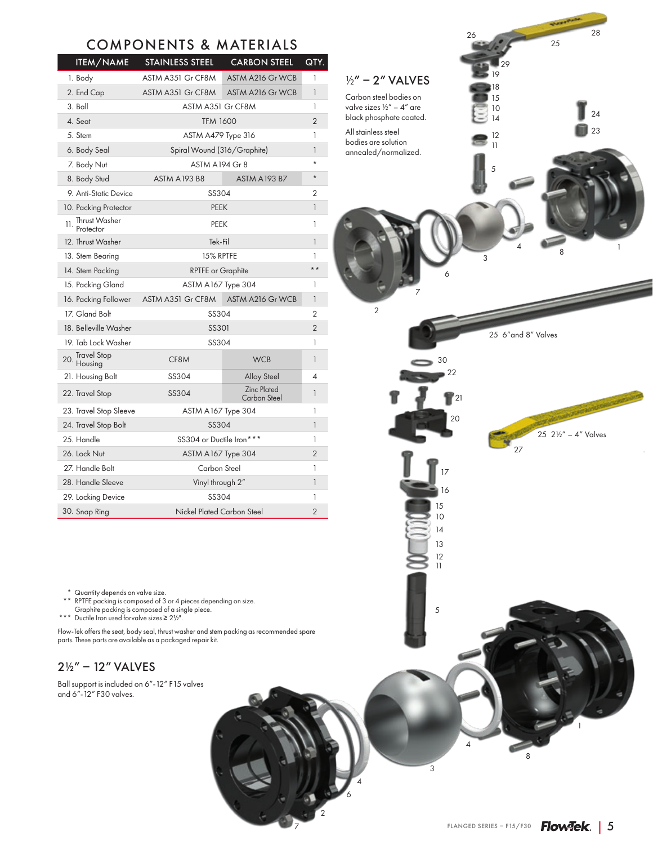### COMPONENTS & MATERIALS

| <b>ITEM/NAME</b>                     | <b>STAINLESS STEEL</b>     | <b>CARBON STEEL</b>                | QTY.           |  |  |  |  |  |  |  |
|--------------------------------------|----------------------------|------------------------------------|----------------|--|--|--|--|--|--|--|
| 1. Body                              | ASTM A351 Gr CF8M          | <b>ASTM A216 Gr WCB</b>            | 1              |  |  |  |  |  |  |  |
| 2. End Cap                           | ASTM A351 Gr CF8M          | ASTM A216 Gr WCB                   | 1              |  |  |  |  |  |  |  |
| 3. Ball                              |                            | ASTM A351 Gr CF8M                  |                |  |  |  |  |  |  |  |
| 4. Seat                              | <b>TFM 1600</b>            |                                    | $\overline{2}$ |  |  |  |  |  |  |  |
| 5. Stem                              | ASTM A479 Type 316         |                                    | $\mathbf{1}$   |  |  |  |  |  |  |  |
| 6. Body Seal                         |                            | Spiral Wound (316/Graphite)        |                |  |  |  |  |  |  |  |
| 7. Body Nut                          |                            | <b>ASTM A194 Gr 8</b>              |                |  |  |  |  |  |  |  |
| 8. Body Stud                         | <b>ASTM A193 B8</b>        | <b>ASTM A193 B7</b>                | $\star$        |  |  |  |  |  |  |  |
| 9. Anti-Static Device                | SS304                      |                                    | 2              |  |  |  |  |  |  |  |
| 10. Packing Protector                |                            | <b>PEEK</b>                        |                |  |  |  |  |  |  |  |
| Thrust Washer<br>11.<br>Protector    | PEEK                       |                                    | 1              |  |  |  |  |  |  |  |
| 12. Thrust Washer                    | Tek-Fil                    |                                    |                |  |  |  |  |  |  |  |
| 13. Stem Bearing                     | 15% RPTFE                  |                                    |                |  |  |  |  |  |  |  |
| 14. Stem Packing                     | <b>RPTFE</b> or Graphite   |                                    |                |  |  |  |  |  |  |  |
| 15. Packing Gland                    | ASTM A167 Type 304         |                                    |                |  |  |  |  |  |  |  |
| 16. Packing Follower                 | ASTM A351 Gr CF8M          | ASTM A216 Gr WCB                   | $\mathbf{1}$   |  |  |  |  |  |  |  |
| 17. Gland Bolt                       | SS304                      |                                    |                |  |  |  |  |  |  |  |
| 18. Belleville Washer                | <b>SS301</b>               |                                    |                |  |  |  |  |  |  |  |
| 19. Tab Lock Washer                  | SS304                      |                                    |                |  |  |  |  |  |  |  |
| <b>Travel Stop</b><br>20.<br>Housing | CF8M                       | <b>WCB</b>                         | 1              |  |  |  |  |  |  |  |
| 21. Housing Bolt                     | SS304                      | <b>Alloy Steel</b>                 | 4              |  |  |  |  |  |  |  |
| 22. Travel Stop                      | SS304                      | <b>Zinc Plated</b><br>Carbon Steel | 1              |  |  |  |  |  |  |  |
| 23. Travel Stop Sleeve               | ASTM A167 Type 304         |                                    | 1              |  |  |  |  |  |  |  |
| 24. Travel Stop Bolt                 | SS304                      |                                    | $\mathbf{1}$   |  |  |  |  |  |  |  |
| 25. Handle                           | SS304 or Ductile Iron***   |                                    | 1              |  |  |  |  |  |  |  |
| 26. Lock Nut                         | ASTM A167 Type 304         |                                    | $\overline{2}$ |  |  |  |  |  |  |  |
| 27. Handle Bolt                      |                            | Carbon Steel                       |                |  |  |  |  |  |  |  |
| 28. Handle Sleeve                    | Vinyl through 2"           |                                    |                |  |  |  |  |  |  |  |
| 29. Locking Device                   | SS304                      |                                    |                |  |  |  |  |  |  |  |
| 30. Snap Ring                        | Nickel Plated Carbon Steel |                                    |                |  |  |  |  |  |  |  |

 $\begin{array}{c|c}\n4 & 8 \\
1 & 1\n\end{array}$ 5 30 22  $\mathbf{r}$ <sup>21</sup> 20 27 17 16 10 15 14 13 12 11 5 1 11 12 14 10 15 18 19 25 29  $28$ 23 24 26 3 6 7 2  $1/2" - 2"$  VALVES Carbon steel bodies on valve sizes ½" – 4" are black phosphate coated. All stainless steel bodies are solution annealed/normalized. 25 2½" – 4" Valves 25 6"and 8" Valves

\* Quantity depends on valve size.

\*\* RPTFE packing is composed of 3 or 4 pieces depending on size. Graphite packing is composed of a single piece. \*\*\* Ductile Iron used forvalve sizes ≥ 2½".

Flow-Tek offers the seat, body seal, thrust washer and stem packing as recommended spare parts. These parts are available as a packaged repair kit.

### 2½" – 12" VALVES

Ball support is included on 6"-12" F15 valves and 6"-12" F30 valves.

8

4

3

4 6

7

2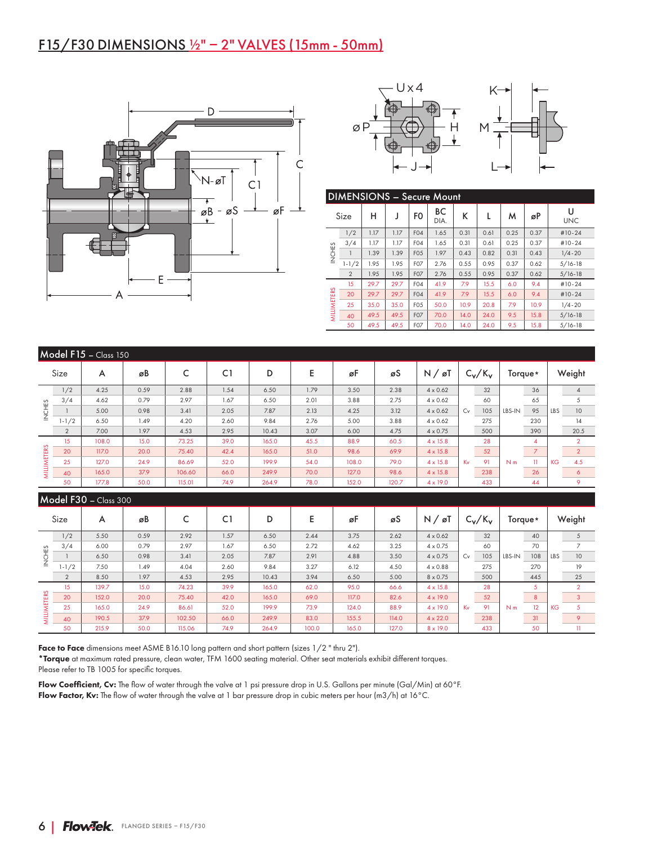## F15/F30 DIMENSIONS ½" – 2" VALVES (15mm - 50mm)





|                    | <b>DIMENSIONS - Secure Mount</b> |      |      |                  |            |      |      |      |      |                 |  |  |  |  |
|--------------------|----------------------------------|------|------|------------------|------------|------|------|------|------|-----------------|--|--|--|--|
|                    | Size                             | н    | J    | F <sub>0</sub>   | BС<br>DIA. | ĸ    | L    | м    | øP   | U<br><b>UNC</b> |  |  |  |  |
|                    | 1/2                              | 1.17 | 1.17 | F <sub>04</sub>  | 1.65       | 0.31 | 0.61 | 0.25 | 0.37 | $#10-24$        |  |  |  |  |
|                    | 3/4                              | 1.17 | 1.17 | F <sub>04</sub>  | 1.65       | 0.31 | 0.61 | 0.25 | 0.37 | #10-24          |  |  |  |  |
| <b>INCHES</b>      |                                  | 1.39 | 1.39 | F <sub>05</sub>  | 1.97       | 0.43 | 0.82 | 0.31 | 0.43 | $1/4 - 20$      |  |  |  |  |
|                    | $1 - 1/2$                        | 1.95 | 1.95 | F <sub>O</sub>   | 2.76       | 0.55 | 0.95 | 0.37 | 0.62 | $5/16 - 18$     |  |  |  |  |
|                    | $\overline{2}$                   | 1.95 | 1.95 | F07              | 2.76       | 0.55 | 0.95 | 0.37 | 0.62 | $5/16 - 18$     |  |  |  |  |
|                    | 15                               | 29.7 | 29.7 | F <sub>04</sub>  | 41.9       | 7.9  | 15.5 | 6.0  | 9.4  | #10-24          |  |  |  |  |
|                    | 20                               | 29.7 | 29.7 | F <sub>04</sub>  | 41.9       | 7.9  | 15.5 | 6.0  | 9.4  | $#10-24$        |  |  |  |  |
|                    | 25                               | 35.0 | 35.0 | F <sub>05</sub>  | 50.0       | 10.9 | 20.8 | 7.9  | 10.9 | $1/4 - 20$      |  |  |  |  |
| <b>MILLIMETERS</b> | 40                               | 49.5 | 49.5 | F07              | 70.0       | 14.0 | 24.0 | 9.5  | 15.8 | $5/16 - 18$     |  |  |  |  |
|                    | 50                               | 49.5 | 49.5 | F <sub>0</sub> 7 | 70.0       | 14.0 | 24.0 | 9.5  | 15.8 | $5/16 - 18$     |  |  |  |  |

Kv

28

N m

5

KG

 $\overline{2}$ 

|                    | Model F15 - Class 150 |                       |      |        |      |       |      |       |       |                     |    |           |                |                |           |                |  |
|--------------------|-----------------------|-----------------------|------|--------|------|-------|------|-------|-------|---------------------|----|-----------|----------------|----------------|-----------|----------------|--|
|                    | Size                  | A                     | øB   | C      | C1   | D     | Ε    | øF    | øS    | $N / \varnothing T$ |    | $C_v/K_v$ | Torque*        |                | Weight    |                |  |
|                    | 1/2                   | 4.25                  | 0.59 | 2.88   | 1.54 | 6.50  | 1.79 | 3.50  | 2.38  | $4 \times 0.62$     |    | 32        |                | 36             |           | $\overline{4}$ |  |
|                    | 3/4                   | 4.62                  | 0.79 | 2.97   | 1.67 | 6.50  | 2.01 | 3.88  | 2.75  | $4 \times 0.62$     |    | 60        |                | 65             |           | 5              |  |
| <b>INCHES</b>      |                       | 5.00                  | 0.98 | 3.41   | 2.05 | 7.87  | 2.13 | 4.25  | 3.12  | $4 \times 0.62$     | Cv | 105       | LBS-IN         | 95             | LBS       | 10             |  |
|                    | $1 - 1/2$             | 6.50                  | 1.49 | 4.20   | 2.60 | 9.84  | 2.76 | 5.00  | 3.88  | $4 \times 0.62$     |    | 275       |                | 230            |           | 14             |  |
|                    | $\overline{2}$        | 7.00                  | 1.97 | 4.53   | 2.95 | 10.43 | 3.07 | 6.00  | 4.75  | $4 \times 0.75$     |    | 500       |                | 390            |           | 20.5           |  |
|                    | 15                    | 108.0                 | 15.0 | 73.25  | 39.0 | 165.0 | 45.5 | 88.9  | 60.5  | $4 \times 15.8$     |    | 28        |                | $\overline{4}$ |           | $\overline{2}$ |  |
|                    | 20                    | 117.0                 | 20.0 | 75.40  | 42.4 | 165.0 | 51.0 | 98.6  | 69.9  | $4 \times 15.8$     |    | 52        |                | $\overline{7}$ |           | $\overline{2}$ |  |
| <b>MILLIMETERS</b> | 25                    | 127.0                 | 24.9 | 86.69  | 52.0 | 199.9 | 54.0 | 108.0 | 79.0  | $4 \times 15.8$     | Kv | 91        | N <sub>m</sub> | $\mathbf{1}$   | <b>KG</b> | 4.5            |  |
|                    | 40                    | 165.0                 | 37.9 | 106.60 | 66.0 | 249.9 | 70.0 | 127.0 | 98.6  | $4 \times 15.8$     |    | 238       |                | 26             |           | 6              |  |
|                    | 50                    | 177.8                 | 50.0 | 115.01 | 74.9 | 264.9 | 78.0 | 152.0 | 120.7 | $4 \times 19.0$     |    | 433       | 44             |                |           | 9              |  |
|                    |                       | Model F30 - Class 300 |      |        |      |       |      |       |       |                     |    |           |                |                |           |                |  |
|                    | Size                  | A                     | øB   | C      | C1   | D     | E    | øF    | øS    | $N / \varnothing T$ |    | $C_v/K_v$ | Torque*        |                | Weight    |                |  |
|                    | 1/2                   | 5.50                  | 0.59 | 2.92   | 1.57 | 6.50  | 2.44 | 3.75  | 2.62  | $4 \times 0.62$     |    | 32        |                | 40             |           | 5              |  |
|                    | 3/4                   | 6.00                  | 0.79 | 2.97   | 1.67 | 6.50  | 2.72 | 4.62  | 3.25  | $4 \times 0.75$     |    | 60        |                | 70             |           | 7              |  |
| <b>INCHES</b>      |                       | 6.50                  | 0.98 | 3.41   | 2.05 | 7.87  | 2.91 | 4.88  | 3.50  | $4 \times 0.75$     | Cv | 105       | LBS-IN         | 108            | LBS       | 10             |  |
|                    | $1 - 1/2$             | 7.50                  | 1.49 | 4.04   | 2.60 | 9.84  | 3.27 | 6.12  | 4.50  | $4 \times 0.88$     |    | 275       |                | 270            |           | 19             |  |

2 | 8.50 | 1.97 | 4.53 | 2.95 | 10.43 | 3.94 | 6.50 | 5.00 | 8 x 0.75 | 500 | 445 | 25

20 | 152.0 | 20.0 | 75.40 | 42.0 | 165.0 | 69.0 | 117.0 | 82.6 | 4 x 19.0 | 52 | 8 | 3 25 | 165.0 | 24.9 | 86.61 | 52.0 | 199.9 | 73.9 | 124.0 | 88.9 | 4 x 19.0 |Kv 91 |N m 12 |KG 5 40 | 190.5 | 37.9 | 102.50 | 66.0 | 249.9 | 83.0 | 155.5 | 114.0 | 4 $\times$ 22.0 | 238 | 31 | 9 50 | 215.9 | 50.0 | 115.06 | 74.9 | 264.9 | 100.0 | 165.0 | 127.0 | 8 x 19.0 | 433 | 50 | 11

Face to Face dimensions meet ASME B16.10 long pattern and short pattern (sizes 1/2 " thru 2").

\*Torque at maximum rated pressure, clean water, TFM 1600 seating material. Other seat materials exhibit different torques. Please refer to TB 1005 for specific torques.

Flow Coefficient, Cv: The flow of water through the valve at 1 psi pressure drop in U.S. Gallons per minute (Gal/Min) at 60°F. Flow Factor, Kv: The flow of water through the valve at 1 bar pressure drop in cubic meters per hour (m3/h) at 16°C.

15 | 139.7 | 15.0 | 74.23 | 39.9 | 165.0 | 62.0 | 95.0 | 66.6 | 4 x 15.8

MILLIMETERS

**MILLIMETERS**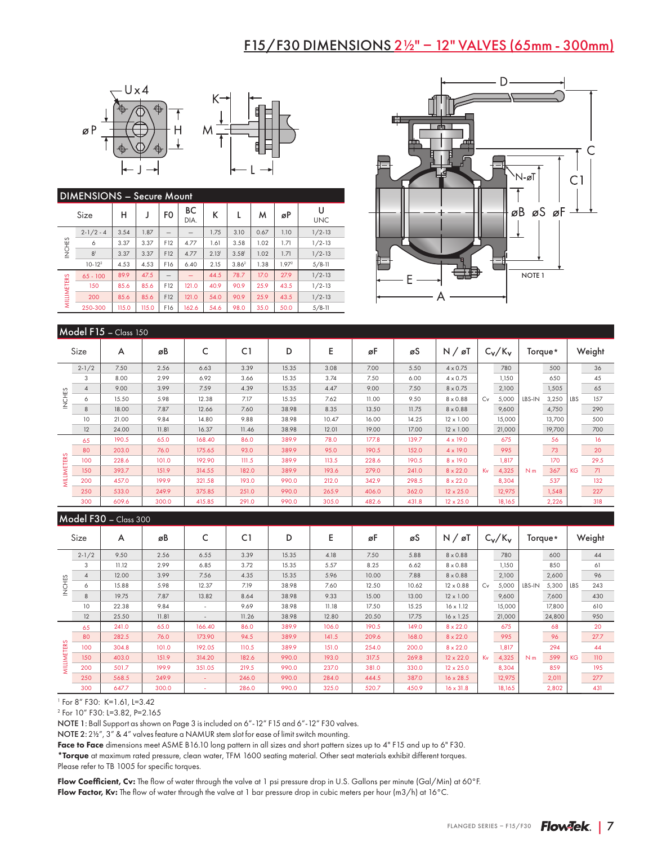### F15/F30 DIMENSIONS 2½" – 12" VALVES (65mm - 300mm)





|                    | <b>DIMENSIONS - Secure Mount</b> |       |       |                |            |                   |                   |      |                   |                 |  |  |  |  |
|--------------------|----------------------------------|-------|-------|----------------|------------|-------------------|-------------------|------|-------------------|-----------------|--|--|--|--|
|                    | Size                             | н     | J     | F <sub>0</sub> | BС<br>DIA. | К                 | L                 | м    | øP                | U<br><b>UNC</b> |  |  |  |  |
|                    | $2 - 1/2 - 4$                    | 3.54  | 1.87  |                |            | 1.75              | 3.10              | 0.67 | 1.10              | $1/2 - 13$      |  |  |  |  |
| INCHES             | 6                                | 3.37  | 3.37  | F12            | 4.77       | 1.61              | 3.58              | 1.02 | 1.71              | $1/2 - 13$      |  |  |  |  |
|                    | 8 <sup>1</sup>                   | 3.37  | 3.37  | F12            | 4.77       | 2.13 <sup>1</sup> | 3.58 <sup>1</sup> | 1.02 | 1.71              | $1/2 - 13$      |  |  |  |  |
|                    | $10 - 122$                       | 4.53  | 4.53  | F16            | 6.40       | 2.15              | 3.86 <sup>2</sup> | 1.38 | 1.97 <sup>2</sup> | $5/8 - 11$      |  |  |  |  |
|                    | $65 - 100$                       | 89.9  | 47.5  |                |            | 44.5              | 78.7              | 17.0 | 27.9              | $1/2 - 13$      |  |  |  |  |
| <b>MILLIMETERS</b> | 150                              | 85.6  | 85.6  | F12            | 121.0      | 40.9              | 90.9              | 25.9 | 43.5              | $1/2 - 13$      |  |  |  |  |
|                    | 200                              | 85.6  | 85.6  | F12            | 121.0      | 54.0              | 90.9              | 25.9 | 43.5              | $1/2 - 13$      |  |  |  |  |
|                    | 250-300                          | 115.0 | 115.0 | F16            | 162.6      | 54.6              | 98.0              | 35.0 | 50.0              | $5/8 - 11$      |  |  |  |  |
|                    |                                  |       |       |                |            |                   |                   |      |                   |                 |  |  |  |  |



|                      | Model $F15 - Class 150$ |         |       |        |         |       |       |       |       |                     |           |        |                |              |            |      |
|----------------------|-------------------------|---------|-------|--------|---------|-------|-------|-------|-------|---------------------|-----------|--------|----------------|--------------|------------|------|
| Size                 |                         | A<br>øB |       | C      | C1<br>D |       | Е     | øF    |       | $N / \varnothing$ T | $C_v/K_v$ |        | Torque*        |              | Weight     |      |
|                      | $2 - 1/2$               | 7.50    | 2.56  | 6.63   | 3.39    | 15.35 | 3.08  | 7.00  | 5.50  | $4 \times 0.75$     |           | 780    |                | 500          |            | 36   |
|                      | 3                       | 8.00    | 2.99  | 6.92   | 3.66    | 15.35 | 3.74  | 7.50  | 6.00  | $4 \times 0.75$     |           | 1,150  |                | 650          |            | 45   |
| £S<br>N <sub>2</sub> | $\overline{4}$          | 9.00    | 3.99  | 7.59   | 4.39    | 15.35 | 4.47  | 9.00  | 7.50  | $8 \times 0.75$     |           | 2,100  |                | 1,505        |            | 65   |
|                      | 6                       | 15.50   | 5.98  | 12.38  | 7.17    | 15.35 | 7.62  | 11.00 | 9.50  | $8 \times 0.88$     | Cv        | 5,000  | LBS-IN         | 3,250        | <b>LBS</b> | 157  |
|                      | 8                       | 18.00   | 7.87  | 12.66  | 7.60    | 38.98 | 8.35  | 13.50 | 11.75 | $8 \times 0.88$     |           | 9,600  |                | 4,750        |            | 290  |
|                      | 10                      | 21.00   | 9.84  | 14.80  | 9.88    | 38.98 | 10.47 | 16.00 | 14.25 | $12 \times 1.00$    |           | 15,000 |                | 13,700       |            | 500  |
|                      | 12                      | 24.00   | 11.81 | 16.37  | 11.46   | 38.98 | 12.01 | 19.00 | 17.00 | $12 \times 1.00$    |           | 21,000 |                | 19,700       |            | 700  |
|                      | 65                      | 190.5   | 65.0  | 168.40 | 86.0    | 389.9 | 78.0  | 177.8 | 139.7 | $4 \times 19.0$     |           | 675    |                | 56           |            | 16   |
| S                    | 80                      | 203.0   | 76.0  | 175.65 | 93.0    | 389.9 | 95.0  | 190.5 | 152.0 | $4 \times 19.0$     |           | 995    |                | 73           |            | 20   |
|                      | 100                     | 228.6   | 101.0 | 192.90 | 111.5   | 389.9 | 113.5 | 228.6 | 190.5 | $8 \times 19.0$     |           | 1,817  |                | 170          |            | 29.5 |
|                      | 150                     | 393.7   | 151.9 | 314.55 | 182.0   | 389.9 | 193.6 | 279.0 | 241.0 | $8 \times 22.0$     | Kv        | 4,325  | N <sub>m</sub> | 367          | <b>KG</b>  | 71   |
| <b>MILLIMETER</b>    | 200                     | 457.0   | 199.9 | 321.58 | 193.0   | 990.0 | 212.0 | 342.9 | 298.5 | $8 \times 22.0$     |           | 8,304  |                | 537<br>1,548 |            | 132  |
|                      | 250                     | 533.0   | 249.9 | 375.85 | 251.0   | 990.0 | 265.9 | 406.0 | 362.0 | $12 \times 25.0$    |           | 12,975 |                |              |            | 227  |
|                      | 300                     | 609.6   | 300.0 | 415.85 | 291.0   | 990.0 | 305.0 | 482.6 | 431.8 | $12 \times 25.0$    |           | 18,165 |                | 2,226        |            | 318  |

#### $Mode$  F30  $C$   $Case 300$

| Size              |           | øB<br>A |       | C1     |       | D     | Ε     | øF    | øS    | $N / \varnothing$ T |    | $C_V/K_V$ | Torque*        |        | Weight     |      |
|-------------------|-----------|---------|-------|--------|-------|-------|-------|-------|-------|---------------------|----|-----------|----------------|--------|------------|------|
|                   | $2 - 1/2$ | 9.50    | 2.56  | 6.55   | 3.39  | 15.35 | 4.18  | 7.50  | 5.88  | $8 \times 0.88$     |    | 780       |                | 600    |            | 44   |
| INCHES            | 3         | 11.12   | 2.99  | 6.85   | 3.72  | 15.35 | 5.57  | 8.25  | 6.62  | $8 \times 0.88$     |    | 1,150     |                | 850    |            | 61   |
|                   | 4         | 12.00   | 3.99  | 7.56   | 4.35  | 15.35 | 5.96  | 10.00 | 7.88  | $8 \times 0.88$     |    | 2,100     |                | 2,600  |            | 96   |
|                   | 6         | 15.88   | 5.98  | 12.37  | 7.19  | 38.98 | 7.60  | 12.50 | 10.62 | $12 \times 0.88$    | Cv | 5,000     | LBS-IN         | 5,300  | <b>LBS</b> | 243  |
|                   | 8         | 19.75   | 7.87  | 13.82  | 8.64  | 38.98 | 9.33  | 15.00 | 13.00 | $12 \times 1.00$    |    | 9,600     |                | 7,600  |            | 430  |
|                   | 10        | 22.38   | 9.84  |        | 9.69  | 38.98 | 11.18 | 17.50 | 15.25 | $16 \times 1.12$    |    | 15,000    |                | 17,800 |            | 610  |
|                   | 12        | 25.50   | 11.81 |        | 11.26 | 38.98 | 12.80 | 20.50 | 17.75 | $16 \times 1.25$    |    | 21,000    |                | 24,800 |            | 950  |
|                   | 65        | 241.0   | 65.0  | 166.40 | 86.0  | 389.9 | 106.0 | 190.5 | 149.0 | $8 \times 22.0$     |    | 675       |                | 68     | 20         |      |
| $\sigma$          | 80        | 282.5   | 76.0  | 173.90 | 94.5  | 389.9 | 141.5 | 209.6 | 168.0 | $8 \times 22.0$     |    | 995       |                | 96     |            | 27.7 |
|                   | 100       | 304.8   | 101.0 | 192.05 | 110.5 | 389.9 | 151.0 | 254.0 | 200.0 | $8 \times 22.0$     |    | 1,817     |                | 294    |            | 44   |
|                   | 150       | 403.0   | 151.9 | 314.20 | 182.6 | 990.0 | 193.0 | 317.5 | 269.8 | $12 \times 22.0$    | Kv | 4,325     | N <sub>m</sub> | 599    | <b>KG</b>  | 110  |
| <b>MILLIMETER</b> | 200       | 501.7   | 199.9 | 351.05 | 219.5 | 990.0 | 237.0 | 381.0 | 330.0 | $12 \times 25.0$    |    | 8,304     |                | 859    |            | 195  |
|                   | 250       | 568.5   | 249.9 |        | 246.0 | 990.0 | 284.0 | 444.5 | 387.0 | $16 \times 28.5$    |    | 12,975    |                | 2,011  |            | 277  |
|                   | 300       | 647.7   | 300.0 |        | 286.0 | 990.0 | 325.0 | 520.7 | 450.9 | $16 \times 31.8$    |    | 18,165    |                | 2,802  |            | 431  |

1 For 8" F30: K=1.61, L=3.42

2 For 10" F30: L=3.82, P=2.165

NOTE 1: Ball Support as shown on Page 3 is included on 6"-12" F15 and 6"-12" F30 valves.

NOTE 2: 2½", 3" & 4" valves feature a NAMUR stem slot for ease of limit switch mounting.

Face to Face dimensions meet ASME B16.10 long pattern in all sizes and short pattern sizes up to 4" F15 and up to 6" F30. \*Torque at maximum rated pressure, clean water, TFM 1600 seating material. Other seat materials exhibit different torques.

Please refer to TB 1005 for specific torques.

Flow Coefficient, Cv: The flow of water through the valve at 1 psi pressure drop in U.S. Gallons per minute (Gal/Min) at 60°F. Flow Factor, Kv: The flow of water through the valve at 1 bar pressure drop in cubic meters per hour (m3/h) at 16°C.